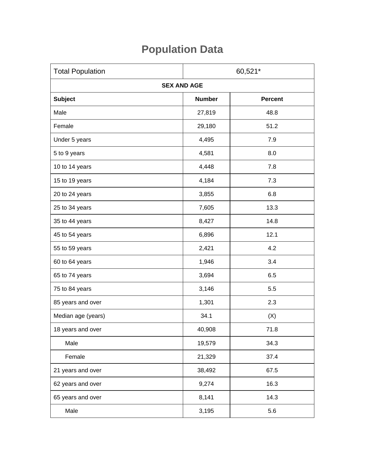## **Population Data**

| <b>Total Population</b> | 60,521*       |                |  |
|-------------------------|---------------|----------------|--|
| <b>SEX AND AGE</b>      |               |                |  |
| <b>Subject</b>          | <b>Number</b> | <b>Percent</b> |  |
| Male                    | 27,819        | 48.8           |  |
| Female                  | 29,180        | 51.2           |  |
| Under 5 years           | 4,495         | 7.9            |  |
| 5 to 9 years            | 4,581         | 8.0            |  |
| 10 to 14 years          | 4,448         | 7.8            |  |
| 15 to 19 years          | 4,184         | 7.3            |  |
| 20 to 24 years          | 3,855         | 6.8            |  |
| 25 to 34 years          | 7,605         | 13.3           |  |
| 35 to 44 years          | 8,427         | 14.8           |  |
| 45 to 54 years          | 6,896         | 12.1           |  |
| 55 to 59 years          | 2,421         | 4.2            |  |
| 60 to 64 years          | 1,946         | 3.4            |  |
| 65 to 74 years          | 3,694         | 6.5            |  |
| 75 to 84 years          | 3,146         | 5.5            |  |
| 85 years and over       | 1,301         | 2.3            |  |
| Median age (years)      | 34.1          | (X)            |  |
| 18 years and over       | 40,908        | 71.8           |  |
| Male                    | 19,579        | 34.3           |  |
| Female                  | 21,329        | 37.4           |  |
| 21 years and over       | 38,492        | 67.5           |  |
| 62 years and over       | 9,274         | 16.3           |  |
| 65 years and over       | 8,141         | 14.3           |  |
| Male                    | 3,195         | 5.6            |  |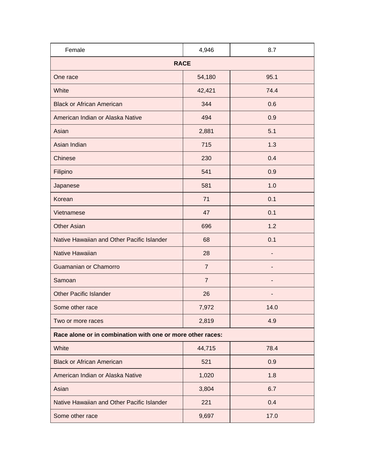| Female                                                     | 4,946          | 8.7  |  |  |
|------------------------------------------------------------|----------------|------|--|--|
| <b>RACE</b>                                                |                |      |  |  |
| One race                                                   | 54,180         | 95.1 |  |  |
| White                                                      | 42,421         | 74.4 |  |  |
| <b>Black or African American</b>                           | 344            | 0.6  |  |  |
| American Indian or Alaska Native                           | 494            | 0.9  |  |  |
| Asian                                                      | 2,881          | 5.1  |  |  |
| Asian Indian                                               | 715            | 1.3  |  |  |
| Chinese                                                    | 230            | 0.4  |  |  |
| Filipino                                                   | 541            | 0.9  |  |  |
| Japanese                                                   | 581            | 1.0  |  |  |
| Korean                                                     | 71             | 0.1  |  |  |
| Vietnamese                                                 | 47             | 0.1  |  |  |
| <b>Other Asian</b>                                         | 696            | 1.2  |  |  |
| Native Hawaiian and Other Pacific Islander                 | 68             | 0.1  |  |  |
| <b>Native Hawaiian</b>                                     | 28             |      |  |  |
| Guamanian or Chamorro                                      | $\overline{7}$ |      |  |  |
| Samoan                                                     | $\overline{7}$ |      |  |  |
| <b>Other Pacific Islander</b>                              | 26             |      |  |  |
| Some other race                                            | 7,972          | 14.0 |  |  |
| Two or more races                                          | 2,819          | 4.9  |  |  |
| Race alone or in combination with one or more other races: |                |      |  |  |
| White                                                      | 44,715         | 78.4 |  |  |
| <b>Black or African American</b>                           | 521            | 0.9  |  |  |
| American Indian or Alaska Native                           | 1,020          | 1.8  |  |  |
| Asian                                                      | 3,804          | 6.7  |  |  |
| Native Hawaiian and Other Pacific Islander                 | 221            | 0.4  |  |  |
| Some other race                                            | 9,697          | 17.0 |  |  |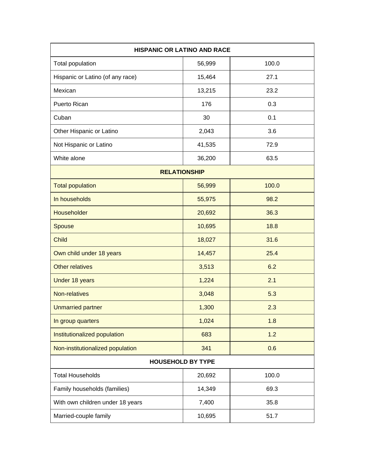| <b>HISPANIC OR LATINO AND RACE</b> |        |       |  |  |
|------------------------------------|--------|-------|--|--|
| Total population                   | 56,999 | 100.0 |  |  |
| Hispanic or Latino (of any race)   | 15,464 | 27.1  |  |  |
| Mexican                            | 13,215 | 23.2  |  |  |
| Puerto Rican                       | 176    | 0.3   |  |  |
| Cuban                              | 30     | 0.1   |  |  |
| Other Hispanic or Latino           | 2,043  | 3.6   |  |  |
| Not Hispanic or Latino             | 41,535 | 72.9  |  |  |
| White alone                        | 36,200 | 63.5  |  |  |
| <b>RELATIONSHIP</b>                |        |       |  |  |
| <b>Total population</b>            | 56,999 | 100.0 |  |  |
| In households                      | 55,975 | 98.2  |  |  |
| Householder                        | 20,692 | 36.3  |  |  |
| Spouse                             | 10,695 | 18.8  |  |  |
| <b>Child</b>                       | 18,027 | 31.6  |  |  |
| Own child under 18 years           | 14,457 | 25.4  |  |  |
| <b>Other relatives</b>             | 3,513  | 6.2   |  |  |
| Under 18 years                     | 1,224  | 2.1   |  |  |
| Non-relatives                      | 3,048  | 5.3   |  |  |
| <b>Unmarried partner</b>           | 1,300  | 2.3   |  |  |
| In group quarters                  | 1,024  | 1.8   |  |  |
| Institutionalized population       | 683    | 1.2   |  |  |
| Non-institutionalized population   | 341    | 0.6   |  |  |
| <b>HOUSEHOLD BY TYPE</b>           |        |       |  |  |
| <b>Total Households</b>            | 20,692 | 100.0 |  |  |
| Family households (families)       | 14,349 | 69.3  |  |  |
| With own children under 18 years   | 7,400  | 35.8  |  |  |
| Married-couple family              | 10,695 | 51.7  |  |  |